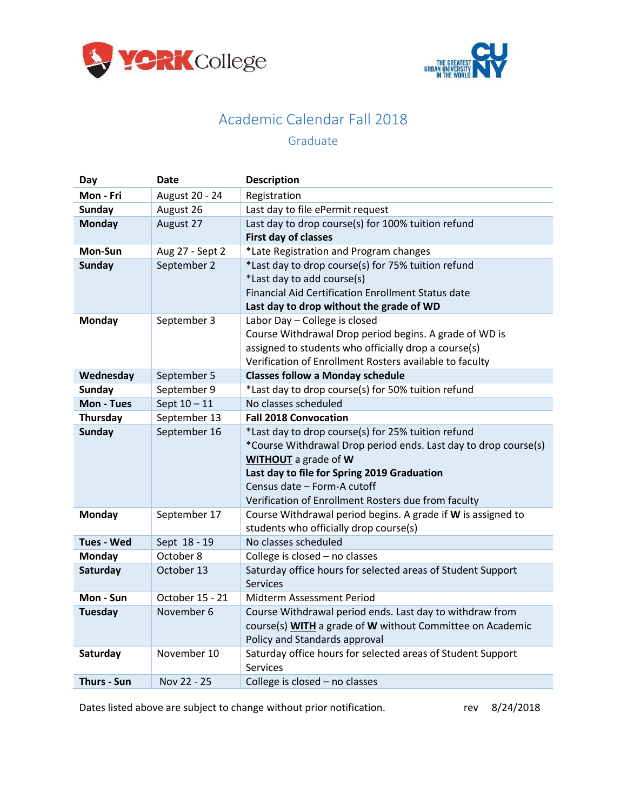



## Academic Calendar Fall 2018

## Graduate

| Day                         | <b>Date</b>               | <b>Description</b>                                                             |
|-----------------------------|---------------------------|--------------------------------------------------------------------------------|
| Mon - Fri                   | August 20 - 24            | Registration                                                                   |
| Sunday                      | August 26                 | Last day to file ePermit request                                               |
| <b>Monday</b>               | August 27                 | Last day to drop course(s) for 100% tuition refund                             |
|                             |                           | First day of classes                                                           |
| <b>Mon-Sun</b>              | Aug 27 - Sept 2           | *Late Registration and Program changes                                         |
| <b>Sunday</b>               | September 2               | *Last day to drop course(s) for 75% tuition refund                             |
|                             |                           | *Last day to add course(s)                                                     |
|                             |                           | Financial Aid Certification Enrollment Status date                             |
|                             |                           | Last day to drop without the grade of WD                                       |
| <b>Monday</b>               | September 3               | Labor Day - College is closed                                                  |
|                             |                           | Course Withdrawal Drop period begins. A grade of WD is                         |
|                             |                           | assigned to students who officially drop a course(s)                           |
|                             |                           | Verification of Enrollment Rosters available to faculty                        |
| Wednesday                   | September 5               | <b>Classes follow a Monday schedule</b>                                        |
| <b>Sunday</b>               | September 9               | *Last day to drop course(s) for 50% tuition refund                             |
| Mon - Tues                  | Sept $10 - 11$            | No classes scheduled                                                           |
| Thursday                    | September 13              | <b>Fall 2018 Convocation</b>                                                   |
| <b>Sunday</b>               | September 16              | *Last day to drop course(s) for 25% tuition refund                             |
|                             |                           | *Course Withdrawal Drop period ends. Last day to drop course(s)                |
|                             |                           | <b>WITHOUT</b> a grade of W                                                    |
|                             |                           | Last day to file for Spring 2019 Graduation                                    |
|                             |                           | Census date - Form-A cutoff                                                    |
|                             |                           | Verification of Enrollment Rosters due from faculty                            |
| Monday                      | September 17              | Course Withdrawal period begins. A grade if W is assigned to                   |
|                             |                           | students who officially drop course(s)                                         |
| <b>Tues - Wed</b><br>Monday | Sept 18 - 19<br>October 8 | No classes scheduled                                                           |
|                             | October 13                | College is closed - no classes                                                 |
| Saturday                    |                           | Saturday office hours for selected areas of Student Support<br><b>Services</b> |
| Mon - Sun                   | October 15 - 21           | Midterm Assessment Period                                                      |
| <b>Tuesday</b>              | November 6                | Course Withdrawal period ends. Last day to withdraw from                       |
|                             |                           | course(s) WITH a grade of W without Committee on Academic                      |
|                             |                           | Policy and Standards approval                                                  |
| Saturday                    | November 10               | Saturday office hours for selected areas of Student Support                    |
|                             |                           | Services                                                                       |
| Thurs - Sun                 | Nov 22 - 25               | College is closed - no classes                                                 |

Dates listed above are subject to change without prior notification. The rev 8/24/2018